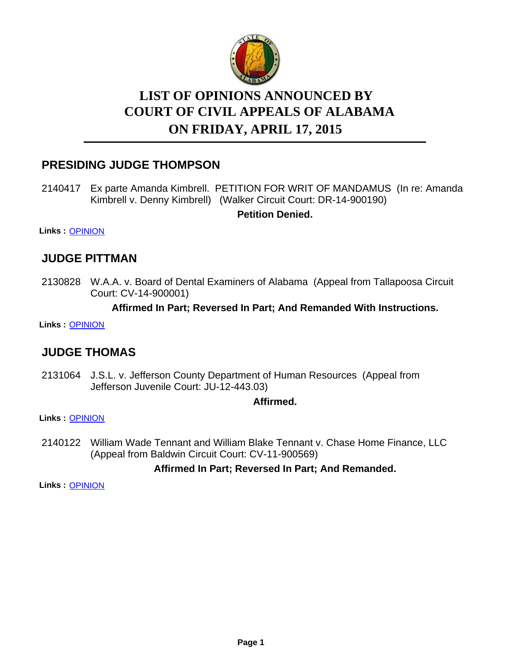

# **LIST OF OPINIONS ANNOUNCED BY ON FRIDAY, APRIL 17, 2015 COURT OF CIVIL APPEALS OF ALABAMA**

## **PRESIDING JUDGE THOMPSON**

2140417 Ex parte Amanda Kimbrell. PETITION FOR WRIT OF MANDAMUS (In re: Amanda Kimbrell v. Denny Kimbrell) (Walker Circuit Court: DR-14-900190)

**Petition Denied.**

**Links :** [OPINION](https://acis.alabama.gov/displaydocs.cfm?no=652041&event=4BW0LBSJU)

### **JUDGE PITTMAN**

2130828 W.A.A. v. Board of Dental Examiners of Alabama (Appeal from Tallapoosa Circuit Court: CV-14-900001)

#### **Affirmed In Part; Reversed In Part; And Remanded With Instructions.**

**Links :** [OPINION](https://acis.alabama.gov/displaydocs.cfm?no=652038&event=4BW0LBRS2)

### **JUDGE THOMAS**

2131064 J.S.L. v. Jefferson County Department of Human Resources (Appeal from Jefferson Juvenile Court: JU-12-443.03)

**Affirmed.**

**Links :** [OPINION](https://acis.alabama.gov/displaydocs.cfm?no=652039&event=4BW0LBRYL)

2140122 William Wade Tennant and William Blake Tennant v. Chase Home Finance, LLC (Appeal from Baldwin Circuit Court: CV-11-900569)

### **Affirmed In Part; Reversed In Part; And Remanded.**

**Links :** [OPINION](https://acis.alabama.gov/displaydocs.cfm?no=652040&event=4BW0LBSCW)